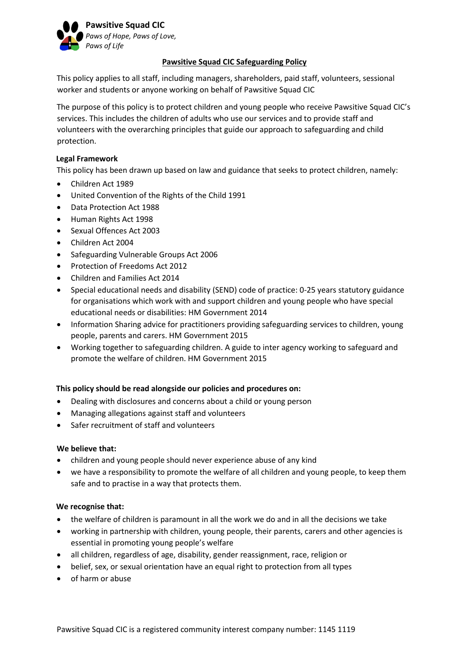

## **Pawsitive Squad CIC Safeguarding Policy**

This policy applies to all staff, including managers, shareholders, paid staff, volunteers, sessional worker and students or anyone working on behalf of Pawsitive Squad CIC

The purpose of this policy is to protect children and young people who receive Pawsitive Squad CIC's services. This includes the children of adults who use our services and to provide staff and volunteers with the overarching principles that guide our approach to safeguarding and child protection.

## **Legal Framework**

This policy has been drawn up based on law and guidance that seeks to protect children, namely:

- Children Act 1989
- United Convention of the Rights of the Child 1991
- Data Protection Act 1988
- Human Rights Act 1998
- Sexual Offences Act 2003
- Children Act 2004
- Safeguarding Vulnerable Groups Act 2006
- Protection of Freedoms Act 2012
- Children and Families Act 2014
- Special educational needs and disability (SEND) code of practice: 0-25 years statutory guidance for organisations which work with and support children and young people who have special educational needs or disabilities: HM Government 2014
- Information Sharing advice for practitioners providing safeguarding services to children, young people, parents and carers. HM Government 2015
- Working together to safeguarding children. A guide to inter agency working to safeguard and promote the welfare of children. HM Government 2015

# **This policy should be read alongside our policies and procedures on:**

- Dealing with disclosures and concerns about a child or young person
- Managing allegations against staff and volunteers
- Safer recruitment of staff and volunteers

### **We believe that:**

- children and young people should never experience abuse of any kind
- we have a responsibility to promote the welfare of all children and young people, to keep them safe and to practise in a way that protects them.

### **We recognise that:**

- the welfare of children is paramount in all the work we do and in all the decisions we take
- working in partnership with children, young people, their parents, carers and other agencies is essential in promoting young people's welfare
- all children, regardless of age, disability, gender reassignment, race, religion or
- belief, sex, or sexual orientation have an equal right to protection from all types
- of harm or abuse